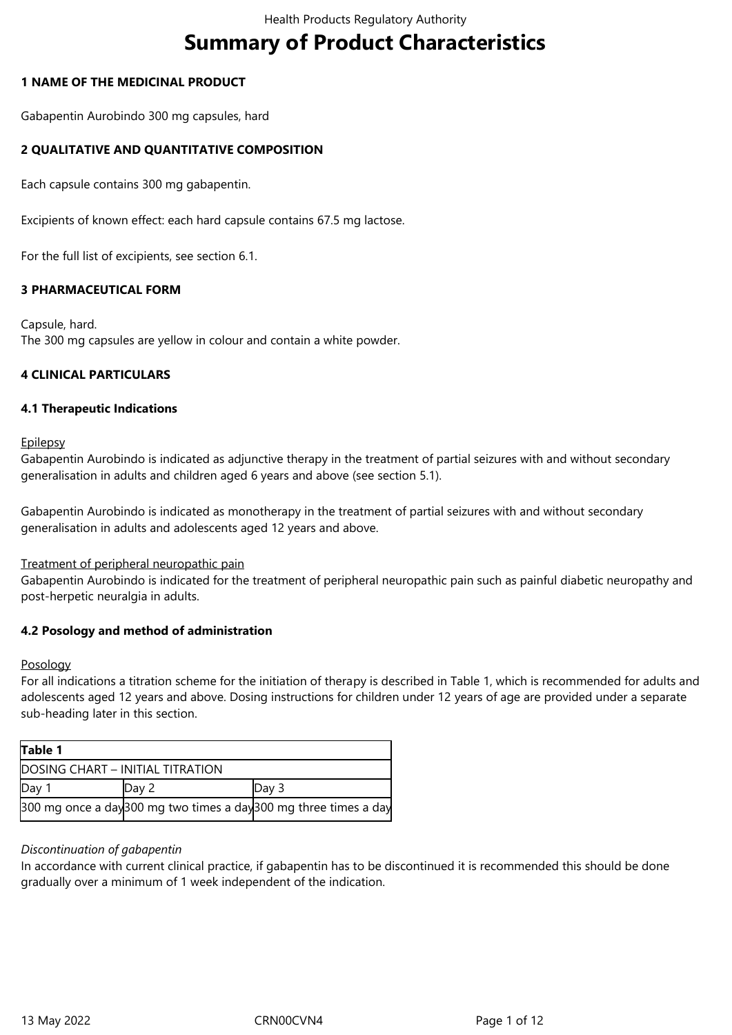# **Summary of Product Characteristics**

# **1 NAME OF THE MEDICINAL PRODUCT**

Gabapentin Aurobindo 300 mg capsules, hard

# **2 QUALITATIVE AND QUANTITATIVE COMPOSITION**

Each capsule contains 300 mg gabapentin.

Excipients of known effect: each hard capsule contains 67.5 mg lactose.

For the full list of excipients, see section 6.1.

# **3 PHARMACEUTICAL FORM**

Capsule, hard. The 300 mg capsules are yellow in colour and contain a white powder.

# **4 CLINICAL PARTICULARS**

# **4.1 Therapeutic Indications**

**Epilepsy** 

Gabapentin Aurobindo is indicated as adjunctive therapy in the treatment of partial seizures with and without secondary generalisation in adults and children aged 6 years and above (see section 5.1).

Gabapentin Aurobindo is indicated as monotherapy in the treatment of partial seizures with and without secondary generalisation in adults and adolescents aged 12 years and above.

# Treatment of peripheral neuropathic pain

Gabapentin Aurobindo is indicated for the treatment of peripheral neuropathic pain such as painful diabetic neuropathy and post-herpetic neuralgia in adults.

# **4.2 Posology and method of administration**

# Posology

For all indications a titration scheme for the initiation of therapy is described in Table 1, which is recommended for adults and adolescents aged 12 years and above. Dosing instructions for children under 12 years of age are provided under a separate sub-heading later in this section.

| Table 1                          |       |                                                                 |  |  |  |
|----------------------------------|-------|-----------------------------------------------------------------|--|--|--|
| DOSING CHART - INITIAL TITRATION |       |                                                                 |  |  |  |
| Day 1                            | Day 2 | Day 3                                                           |  |  |  |
|                                  |       | 300 mg once a day300 mg two times a day300 mg three times a day |  |  |  |

# *Discontinuation of gabapentin*

In accordance with current clinical practice, if gabapentin has to be discontinued it is recommended this should be done gradually over a minimum of 1 week independent of the indication.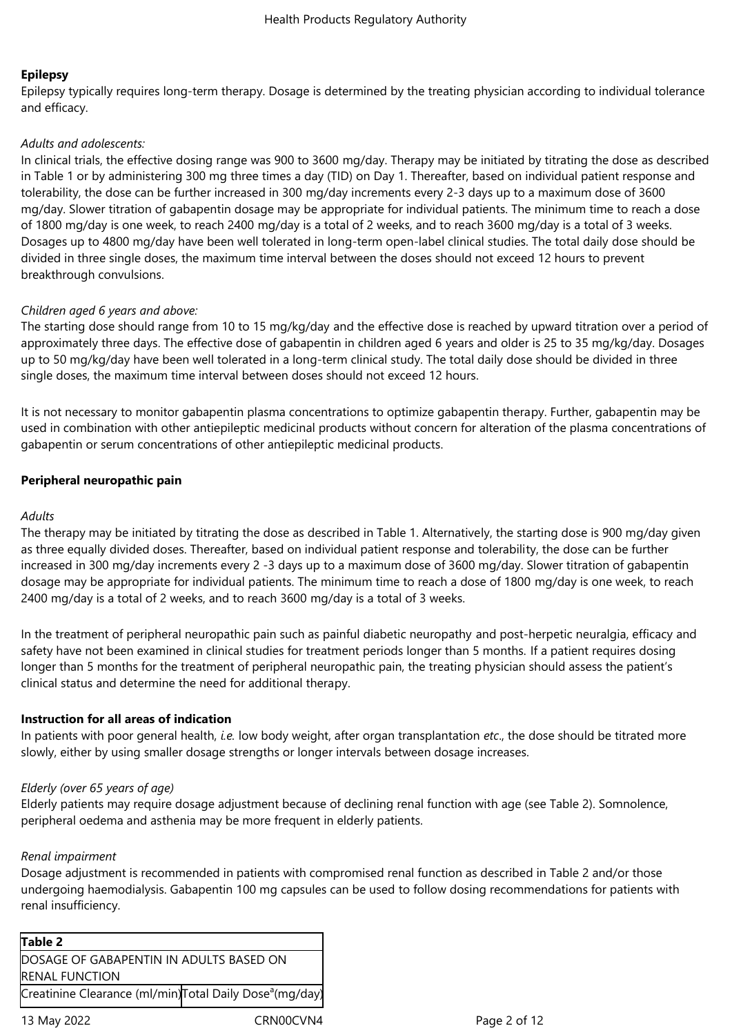# **Epilepsy**

Epilepsy typically requires long-term therapy. Dosage is determined by the treating physician according to individual tolerance and efficacy.

# *Adults and adolescents:*

In clinical trials, the effective dosing range was 900 to 3600 mg/day. Therapy may be initiated by titrating the dose as described in Table 1 or by administering 300 mg three times a day (TID) on Day 1. Thereafter, based on individual patient response and tolerability, the dose can be further increased in 300 mg/day increments every 2-3 days up to a maximum dose of 3600 mg/day. Slower titration of gabapentin dosage may be appropriate for individual patients. The minimum time to reach a dose of 1800 mg/day is one week, to reach 2400 mg/day is a total of 2 weeks, and to reach 3600 mg/day is a total of 3 weeks. Dosages up to 4800 mg/day have been well tolerated in long-term open-label clinical studies. The total daily dose should be divided in three single doses, the maximum time interval between the doses should not exceed 12 hours to prevent breakthrough convulsions.

# *Children aged 6 years and above:*

The starting dose should range from 10 to 15 mg/kg/day and the effective dose is reached by upward titration over a period of approximately three days. The effective dose of gabapentin in children aged 6 years and older is 25 to 35 mg/kg/day. Dosages up to 50 mg/kg/day have been well tolerated in a long-term clinical study. The total daily dose should be divided in three single doses, the maximum time interval between doses should not exceed 12 hours.

It is not necessary to monitor gabapentin plasma concentrations to optimize gabapentin therapy. Further, gabapentin may be used in combination with other antiepileptic medicinal products without concern for alteration of the plasma concentrations of gabapentin or serum concentrations of other antiepileptic medicinal products.

# **Peripheral neuropathic pain**

# *Adults*

The therapy may be initiated by titrating the dose as described in Table 1. Alternatively, the starting dose is 900 mg/day given as three equally divided doses. Thereafter, based on individual patient response and tolerability, the dose can be further increased in 300 mg/day increments every 2 -3 days up to a maximum dose of 3600 mg/day. Slower titration of gabapentin dosage may be appropriate for individual patients. The minimum time to reach a dose of 1800 mg/day is one week, to reach 2400 mg/day is a total of 2 weeks, and to reach 3600 mg/day is a total of 3 weeks.

In the treatment of peripheral neuropathic pain such as painful diabetic neuropathy and post-herpetic neuralgia, efficacy and safety have not been examined in clinical studies for treatment periods longer than 5 months. If a patient requires dosing longer than 5 months for the treatment of peripheral neuropathic pain, the treating physician should assess the patient's clinical status and determine the need for additional therapy.

# **Instruction for all areas of indication**

In patients with poor general health, *i.e.* low body weight, after organ transplantation *etc*., the dose should be titrated more slowly, either by using smaller dosage strengths or longer intervals between dosage increases.

# *Elderly (over 65 years of age)*

Elderly patients may require dosage adjustment because of declining renal function with age (see Table 2). Somnolence, peripheral oedema and asthenia may be more frequent in elderly patients.

# *Renal impairment*

Dosage adjustment is recommended in patients with compromised renal function as described in Table 2 and/or those undergoing haemodialysis. Gabapentin 100 mg capsules can be used to follow dosing recommendations for patients with renal insufficiency.

| Table 2                                                             |  |
|---------------------------------------------------------------------|--|
| DOSAGE OF GABAPENTIN IN ADULTS BASED ON                             |  |
| <b>RENAL FUNCTION</b>                                               |  |
| Creatinine Clearance (ml/min)Total Daily Dose <sup>a</sup> (mg/day) |  |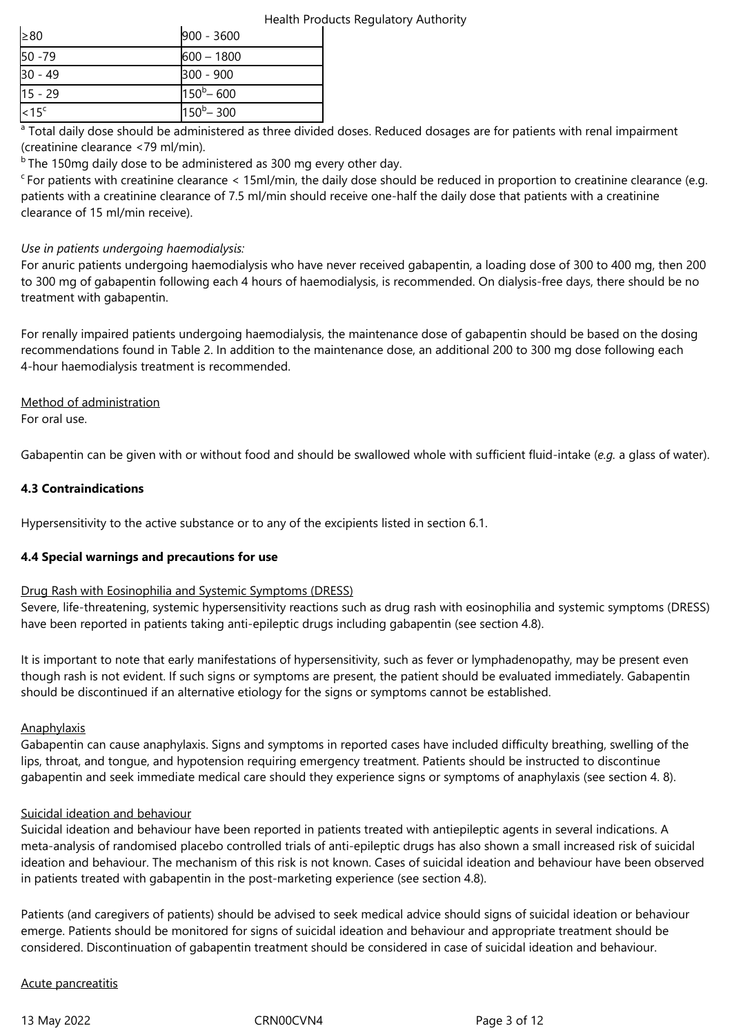|  | Health Products Regulatory Authority |  |
|--|--------------------------------------|--|
|  |                                      |  |

| $\geq 80$ | 900 - 3600          |
|-----------|---------------------|
| $50 - 79$ | $600 - 1800$        |
| $30 - 49$ | 300 - 900           |
| $15 - 29$ | $150^{\rm b} - 600$ |
| $15c$     | $150^{\rm b} - 300$ |

<sup>a</sup> Total daily dose should be administered as three divided doses. Reduced dosages are for patients with renal impairment (creatinine clearance <79 ml/min).

 $b$  The 150mg daily dose to be administered as 300 mg every other day.

 $c_F$  For patients with creatinine clearance < 15ml/min, the daily dose should be reduced in proportion to creatinine clearance (e.g. patients with a creatinine clearance of 7.5 ml/min should receive one-half the daily dose that patients with a creatinine clearance of 15 ml/min receive).

# *Use in patients undergoing haemodialysis:*

For anuric patients undergoing haemodialysis who have never received gabapentin, a loading dose of 300 to 400 mg, then 200 to 300 mg of gabapentin following each 4 hours of haemodialysis, is recommended. On dialysis-free days, there should be no treatment with gabapentin.

For renally impaired patients undergoing haemodialysis, the maintenance dose of gabapentin should be based on the dosing recommendations found in Table 2. In addition to the maintenance dose, an additional 200 to 300 mg dose following each 4-hour haemodialysis treatment is recommended.

# Method of administration

For oral use.

Gabapentin can be given with or without food and should be swallowed whole with sufficient fluid-intake (*e.g.* a glass of water).

# **4.3 Contraindications**

Hypersensitivity to the active substance or to any of the excipients listed in section 6.1.

# **4.4 Special warnings and precautions for use**

# Drug Rash with Eosinophilia and Systemic Symptoms (DRESS)

Severe, life-threatening, systemic hypersensitivity reactions such as drug rash with eosinophilia and systemic symptoms (DRESS) have been reported in patients taking anti-epileptic drugs including gabapentin (see section 4.8).

It is important to note that early manifestations of hypersensitivity, such as fever or lymphadenopathy, may be present even though rash is not evident. If such signs or symptoms are present, the patient should be evaluated immediately. Gabapentin should be discontinued if an alternative etiology for the signs or symptoms cannot be established.

# **Anaphylaxis**

Gabapentin can cause anaphylaxis. Signs and symptoms in reported cases have included difficulty breathing, swelling of the lips, throat, and tongue, and hypotension requiring emergency treatment. Patients should be instructed to discontinue gabapentin and seek immediate medical care should they experience signs or symptoms of anaphylaxis (see section 4. 8).

# Suicidal ideation and behaviour

Suicidal ideation and behaviour have been reported in patients treated with antiepileptic agents in several indications. A meta-analysis of randomised placebo controlled trials of anti-epileptic drugs has also shown a small increased risk of suicidal ideation and behaviour. The mechanism of this risk is not known. Cases of suicidal ideation and behaviour have been observed in patients treated with gabapentin in the post-marketing experience (see section 4.8).

Patients (and caregivers of patients) should be advised to seek medical advice should signs of suicidal ideation or behaviour emerge. Patients should be monitored for signs of suicidal ideation and behaviour and appropriate treatment should be considered. Discontinuation of gabapentin treatment should be considered in case of suicidal ideation and behaviour.

# Acute pancreatitis

13 May 2022 CRN00CVN4 Page 3 of 12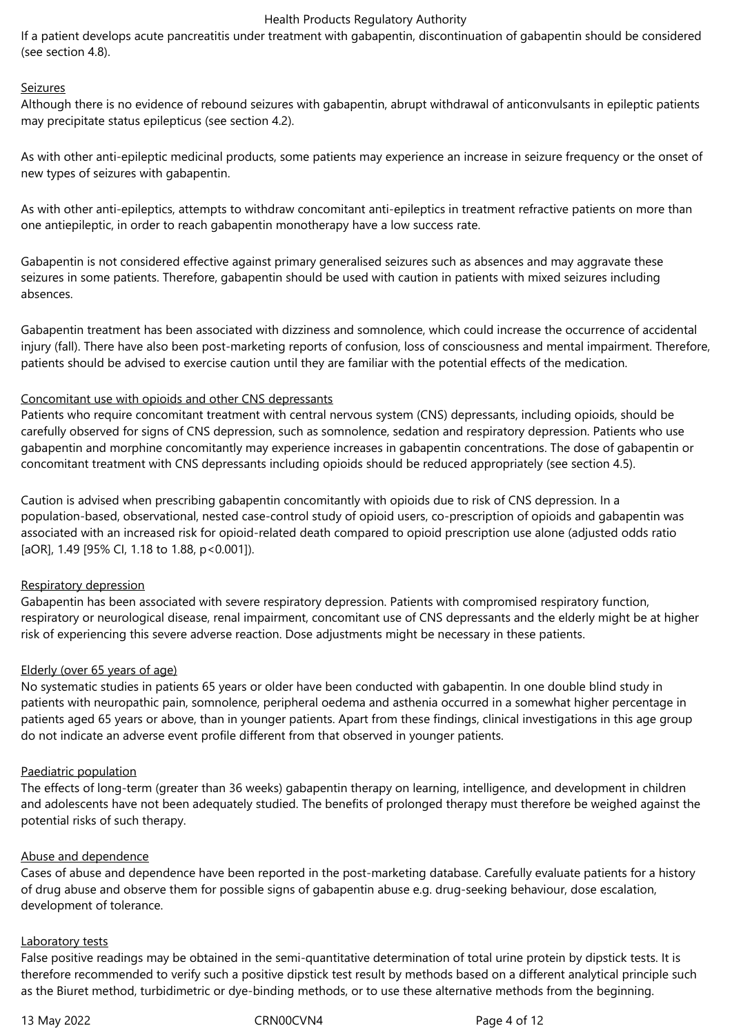If a patient develops acute pancreatitis under treatment with gabapentin, discontinuation of gabapentin should be considered (see section 4.8).

#### Seizures

Although there is no evidence of rebound seizures with gabapentin, abrupt withdrawal of anticonvulsants in epileptic patients may precipitate status epilepticus (see section 4.2).

As with other anti-epileptic medicinal products, some patients may experience an increase in seizure frequency or the onset of new types of seizures with gabapentin.

As with other anti-epileptics, attempts to withdraw concomitant anti-epileptics in treatment refractive patients on more than one antiepileptic, in order to reach gabapentin monotherapy have a low success rate.

Gabapentin is not considered effective against primary generalised seizures such as absences and may aggravate these seizures in some patients. Therefore, gabapentin should be used with caution in patients with mixed seizures including absences.

Gabapentin treatment has been associated with dizziness and somnolence, which could increase the occurrence of accidental injury (fall). There have also been post-marketing reports of confusion, loss of consciousness and mental impairment. Therefore, patients should be advised to exercise caution until they are familiar with the potential effects of the medication.

#### Concomitant use with opioids and other CNS depressants

Patients who require concomitant treatment with central nervous system (CNS) depressants, including opioids, should be carefully observed for signs of CNS depression, such as somnolence, sedation and respiratory depression. Patients who use gabapentin and morphine concomitantly may experience increases in gabapentin concentrations. The dose of gabapentin or concomitant treatment with CNS depressants including opioids should be reduced appropriately (see section 4.5).

Caution is advised when prescribing gabapentin concomitantly with opioids due to risk of CNS depression. In a population-based, observational, nested case-control study of opioid users, co‑prescription of opioids and gabapentin was associated with an increased risk for opioid-related death compared to opioid prescription use alone (adjusted odds ratio [aOR], 1.49 [95% CI, 1.18 to 1.88, p<0.001]).

#### Respiratory depression

Gabapentin has been associated with severe respiratory depression. Patients with compromised respiratory function, respiratory or neurological disease, renal impairment, concomitant use of CNS depressants and the elderly might be at higher risk of experiencing this severe adverse reaction. Dose adjustments might be necessary in these patients.

#### Elderly (over 65 years of age)

No systematic studies in patients 65 years or older have been conducted with gabapentin. In one double blind study in patients with neuropathic pain, somnolence, peripheral oedema and asthenia occurred in a somewhat higher percentage in patients aged 65 years or above, than in younger patients. Apart from these findings, clinical investigations in this age group do not indicate an adverse event profile different from that observed in younger patients.

#### Paediatric population

The effects of long-term (greater than 36 weeks) gabapentin therapy on learning, intelligence, and development in children and adolescents have not been adequately studied. The benefits of prolonged therapy must therefore be weighed against the potential risks of such therapy.

#### Abuse and dependence

Cases of abuse and dependence have been reported in the post-marketing database. Carefully evaluate patients for a history of drug abuse and observe them for possible signs of gabapentin abuse e.g. drug-seeking behaviour, dose escalation, development of tolerance.

#### Laboratory tests

False positive readings may be obtained in the semi-quantitative determination of total urine protein by dipstick tests. It is therefore recommended to verify such a positive dipstick test result by methods based on a different analytical principle such as the Biuret method, turbidimetric or dye-binding methods, or to use these alternative methods from the beginning.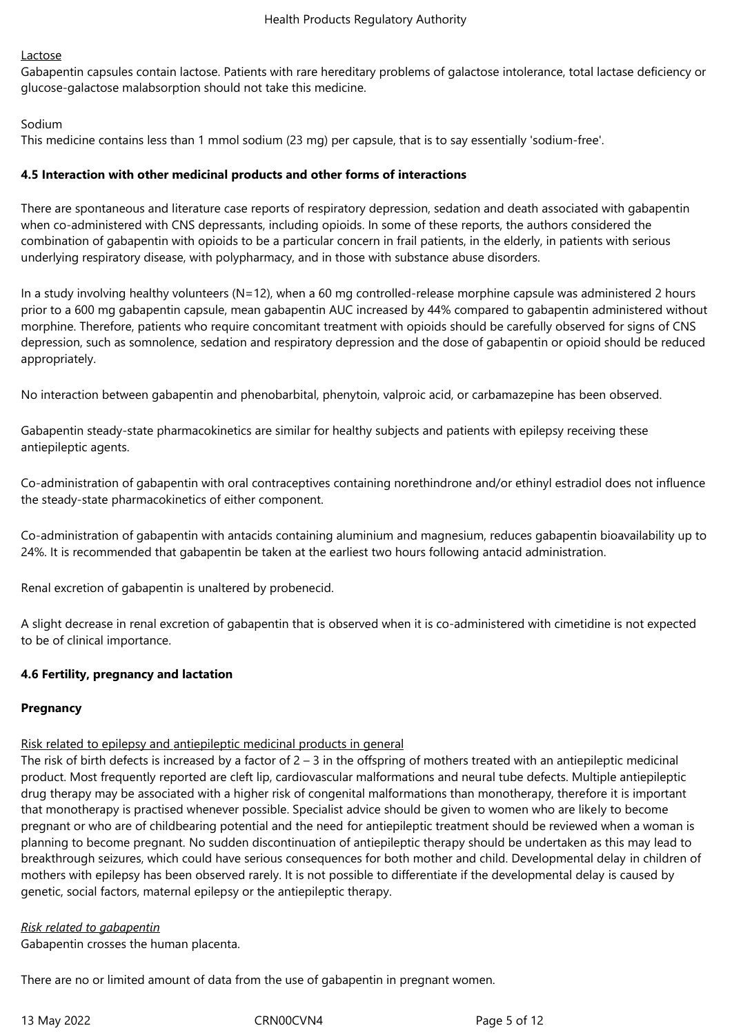# Lactose

Gabapentin capsules contain lactose. Patients with rare hereditary problems of galactose intolerance, total lactase deficiency or glucose-galactose malabsorption should not take this medicine.

# Sodium

This medicine contains less than 1 mmol sodium (23 mg) per capsule, that is to say essentially 'sodium-free'.

# **4.5 Interaction with other medicinal products and other forms of interactions**

There are spontaneous and literature case reports of respiratory depression, sedation and death associated with gabapentin when co-administered with CNS depressants, including opioids. In some of these reports, the authors considered the combination of gabapentin with opioids to be a particular concern in frail patients, in the elderly, in patients with serious underlying respiratory disease, with polypharmacy, and in those with substance abuse disorders.

In a study involving healthy volunteers (N=12), when a 60 mg controlled-release morphine capsule was administered 2 hours prior to a 600 mg gabapentin capsule, mean gabapentin AUC increased by 44% compared to gabapentin administered without morphine. Therefore, patients who require concomitant treatment with opioids should be carefully observed for signs of CNS depression, such as somnolence, sedation and respiratory depression and the dose of gabapentin or opioid should be reduced appropriately.

No interaction between gabapentin and phenobarbital, phenytoin, valproic acid, or carbamazepine has been observed.

Gabapentin steady-state pharmacokinetics are similar for healthy subjects and patients with epilepsy receiving these antiepileptic agents.

Co-administration of gabapentin with oral contraceptives containing norethindrone and/or ethinyl estradiol does not influence the steady-state pharmacokinetics of either component.

Co-administration of gabapentin with antacids containing aluminium and magnesium, reduces gabapentin bioavailability up to 24%. It is recommended that gabapentin be taken at the earliest two hours following antacid administration.

Renal excretion of gabapentin is unaltered by probenecid.

A slight decrease in renal excretion of gabapentin that is observed when it is co-administered with cimetidine is not expected to be of clinical importance.

# **4.6 Fertility, pregnancy and lactation**

# **Pregnancy**

# Risk related to epilepsy and antiepileptic medicinal products in general

The risk of birth defects is increased by a factor of  $2 - 3$  in the offspring of mothers treated with an antiepileptic medicinal product. Most frequently reported are cleft lip, cardiovascular malformations and neural tube defects. Multiple antiepileptic drug therapy may be associated with a higher risk of congenital malformations than monotherapy, therefore it is important that monotherapy is practised whenever possible. Specialist advice should be given to women who are likely to become pregnant or who are of childbearing potential and the need for antiepileptic treatment should be reviewed when a woman is planning to become pregnant. No sudden discontinuation of antiepileptic therapy should be undertaken as this may lead to breakthrough seizures, which could have serious consequences for both mother and child. Developmental delay in children of mothers with epilepsy has been observed rarely. It is not possible to differentiate if the developmental delay is caused by genetic, social factors, maternal epilepsy or the antiepileptic therapy.

*Risk related to gabapentin*

Gabapentin crosses the human placenta.

There are no or limited amount of data from the use of gabapentin in pregnant women.

13 May 2022 CRN00CVN4 Page 5 of 12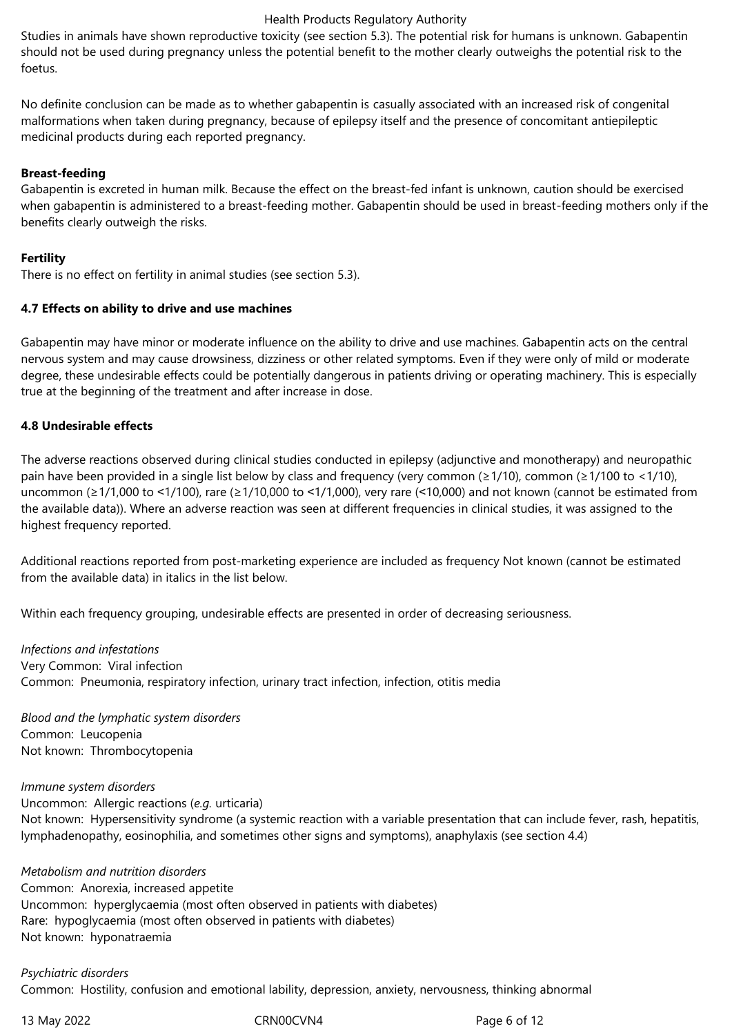Studies in animals have shown reproductive toxicity (see section 5.3). The potential risk for humans is unknown. Gabapentin should not be used during pregnancy unless the potential benefit to the mother clearly outweighs the potential risk to the foetus.

No definite conclusion can be made as to whether gabapentin is casually associated with an increased risk of congenital malformations when taken during pregnancy, because of epilepsy itself and the presence of concomitant antiepileptic medicinal products during each reported pregnancy.

# **Breast-feeding**

Gabapentin is excreted in human milk. Because the effect on the breast-fed infant is unknown, caution should be exercised when gabapentin is administered to a breast-feeding mother. Gabapentin should be used in breast-feeding mothers only if the benefits clearly outweigh the risks.

# **Fertility**

There is no effect on fertility in animal studies (see section 5.3).

#### **4.7 Effects on ability to drive and use machines**

Gabapentin may have minor or moderate influence on the ability to drive and use machines. Gabapentin acts on the central nervous system and may cause drowsiness, dizziness or other related symptoms. Even if they were only of mild or moderate degree, these undesirable effects could be potentially dangerous in patients driving or operating machinery. This is especially true at the beginning of the treatment and after increase in dose.

# **4.8 Undesirable effects**

The adverse reactions observed during clinical studies conducted in epilepsy (adjunctive and monotherapy) and neuropathic pain have been provided in a single list below by class and frequency (very common (≥1/10), common (≥1/100 to <1/10), uncommon (≥1/1,000 to ˂1/100), rare (≥1/10,000 to ˂1/1,000), very rare (˂10,000) and not known (cannot be estimated from the available data)). Where an adverse reaction was seen at different frequencies in clinical studies, it was assigned to the highest frequency reported.

Additional reactions reported from post-marketing experience are included as frequency Not known (cannot be estimated from the available data) in italics in the list below.

Within each frequency grouping, undesirable effects are presented in order of decreasing seriousness.

*Infections and infestations* Very Common: Viral infection Common: Pneumonia, respiratory infection, urinary tract infection, infection, otitis media

*Blood and the lymphatic system disorders* Common: Leucopenia Not known: Thrombocytopenia

#### *Immune system disorders*

Uncommon: Allergic reactions (*e.g.* urticaria)

Not known: Hypersensitivity syndrome (a systemic reaction with a variable presentation that can include fever, rash, hepatitis, lymphadenopathy, eosinophilia, and sometimes other signs and symptoms), anaphylaxis (see section 4.4)

*Metabolism and nutrition disorders* Common: Anorexia, increased appetite Uncommon: hyperglycaemia (most often observed in patients with diabetes) Rare: hypoglycaemia (most often observed in patients with diabetes) Not known: hyponatraemia

# *Psychiatric disorders* Common: Hostility, confusion and emotional lability, depression, anxiety, nervousness, thinking abnormal

13 May 2022 CRN00CVN4 Page 6 of 12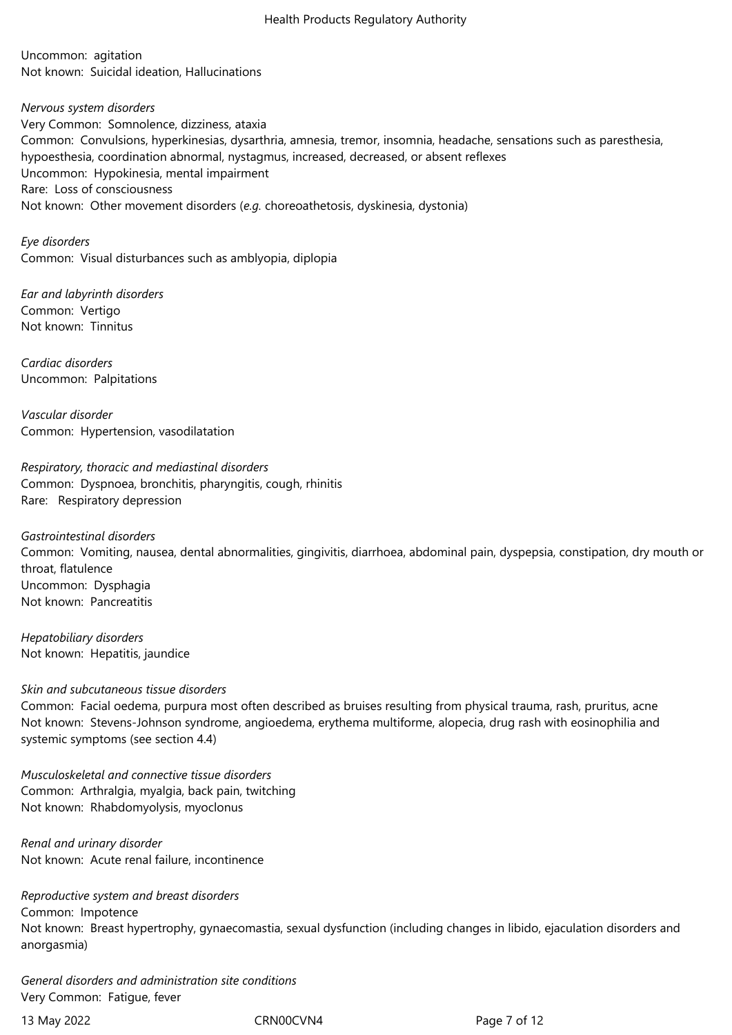Uncommon: agitation Not known: Suicidal ideation, Hallucinations

*Nervous system disorders* Very Common: Somnolence, dizziness, ataxia Common: Convulsions, hyperkinesias, dysarthria, amnesia, tremor, insomnia, headache, sensations such as paresthesia, hypoesthesia, coordination abnormal, nystagmus, increased, decreased, or absent reflexes Uncommon: Hypokinesia, mental impairment Rare: Loss of consciousness Not known: Other movement disorders (*e.g.* choreoathetosis, dyskinesia, dystonia)

*Eye disorders* Common: Visual disturbances such as amblyopia, diplopia

*Ear and labyrinth disorders* Common: Vertigo Not known: Tinnitus

*Cardiac disorders* Uncommon: Palpitations

*Vascular disorder* Common: Hypertension, vasodilatation

*Respiratory, thoracic and mediastinal disorders* Common: Dyspnoea, bronchitis, pharyngitis, cough, rhinitis Rare: Respiratory depression

*Gastrointestinal disorders* Common: Vomiting, nausea, dental abnormalities, gingivitis, diarrhoea, abdominal pain, dyspepsia, constipation, dry mouth or throat, flatulence Uncommon: Dysphagia Not known: Pancreatitis

*Hepatobiliary disorders* Not known: Hepatitis, jaundice

# *Skin and subcutaneous tissue disorders*

Common: Facial oedema, purpura most often described as bruises resulting from physical trauma, rash, pruritus, acne Not known: Stevens-Johnson syndrome, angioedema, erythema multiforme, alopecia, drug rash with eosinophilia and systemic symptoms (see section 4.4)

*Musculoskeletal and connective tissue disorders* Common: Arthralgia, myalgia, back pain, twitching Not known: Rhabdomyolysis, myoclonus

*Renal and urinary disorder* Not known: Acute renal failure, incontinence

*Reproductive system and breast disorders* Common: Impotence Not known: Breast hypertrophy, gynaecomastia, sexual dysfunction (including changes in libido, ejaculation disorders and anorgasmia)

*General disorders and administration site conditions* Very Common: Fatigue, fever

13 May 2022 CRN00CVN4 Page 7 of 12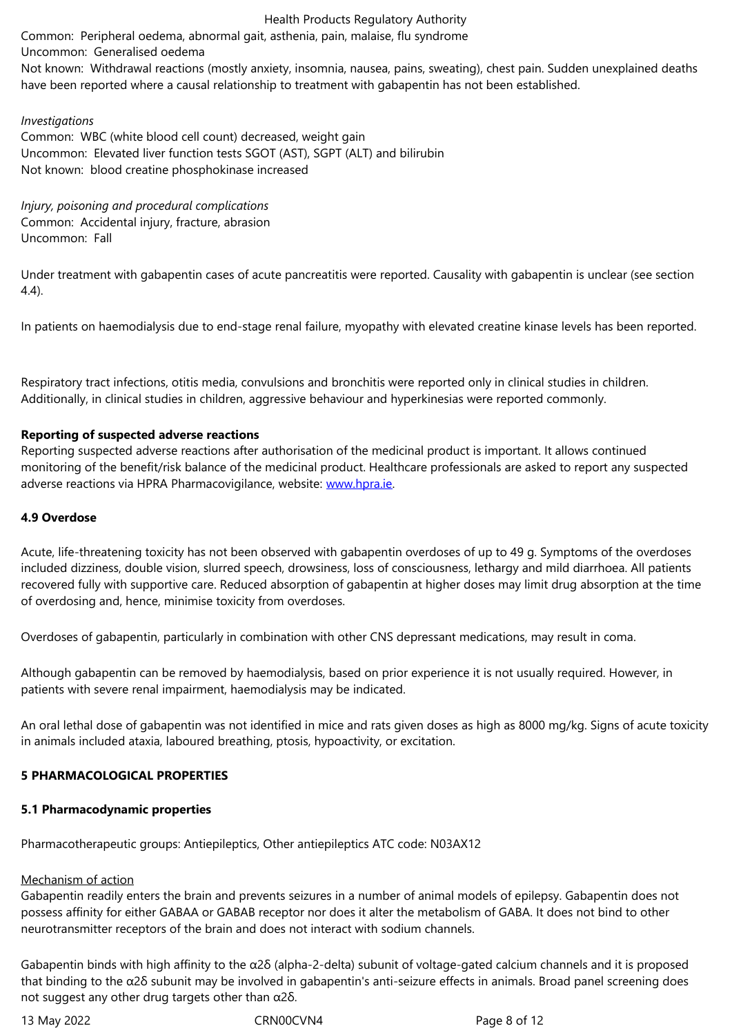Not known: Withdrawal reactions (mostly anxiety, insomnia, nausea, pains, sweating), chest pain. Sudden unexplained deaths have been reported where a causal relationship to treatment with gabapentin has not been established.

# *Investigations*

Common: WBC (white blood cell count) decreased, weight gain Uncommon: Elevated liver function tests SGOT (AST), SGPT (ALT) and bilirubin Not known: blood creatine phosphokinase increased

*Injury, poisoning and procedural complications* Common: Accidental injury, fracture, abrasion Uncommon: Fall

Under treatment with gabapentin cases of acute pancreatitis were reported. Causality with gabapentin is unclear (see section 4.4).

In patients on haemodialysis due to end-stage renal failure, myopathy with elevated creatine kinase levels has been reported.

Respiratory tract infections, otitis media, convulsions and bronchitis were reported only in clinical studies in children. Additionally, in clinical studies in children, aggressive behaviour and hyperkinesias were reported commonly.

# **Reporting of suspected adverse reactions**

Reporting suspected adverse reactions after authorisation of the medicinal product is important. It allows continued monitoring of the benefit/risk balance of the medicinal product. Healthcare professionals are asked to report any suspected adverse reactions via HPRA Pharmacovigilance, website: www.hpra.ie.

# **4.9 Overdose**

Acute, life-threatening toxicity has not been observed w[ith gabapent](http://www.hpra.ie/)in overdoses of up to 49 g. Symptoms of the overdoses included dizziness, double vision, slurred speech, drowsiness, loss of consciousness, lethargy and mild diarrhoea. All patients recovered fully with supportive care. Reduced absorption of gabapentin at higher doses may limit drug absorption at the time of overdosing and, hence, minimise toxicity from overdoses.

Overdoses of gabapentin, particularly in combination with other CNS depressant medications, may result in coma.

Although gabapentin can be removed by haemodialysis, based on prior experience it is not usually required. However, in patients with severe renal impairment, haemodialysis may be indicated.

An oral lethal dose of gabapentin was not identified in mice and rats given doses as high as 8000 mg/kg. Signs of acute toxicity in animals included ataxia, laboured breathing, ptosis, hypoactivity, or excitation.

# **5 PHARMACOLOGICAL PROPERTIES**

# **5.1 Pharmacodynamic properties**

Pharmacotherapeutic groups: Antiepileptics, Other antiepileptics ATC code: N03AX12

# Mechanism of action

Gabapentin readily enters the brain and prevents seizures in a number of animal models of epilepsy. Gabapentin does not possess affinity for either GABAA or GABAB receptor nor does it alter the metabolism of GABA. It does not bind to other neurotransmitter receptors of the brain and does not interact with sodium channels.

Gabapentin binds with high affinity to the α2δ (alpha-2-delta) subunit of voltage-gated calcium channels and it is proposed that binding to the α2δ subunit may be involved in gabapentin's anti-seizure effects in animals. Broad panel screening does not suggest any other drug targets other than α2δ.

13 May 2022 CRN00CVN4 Page 8 of 12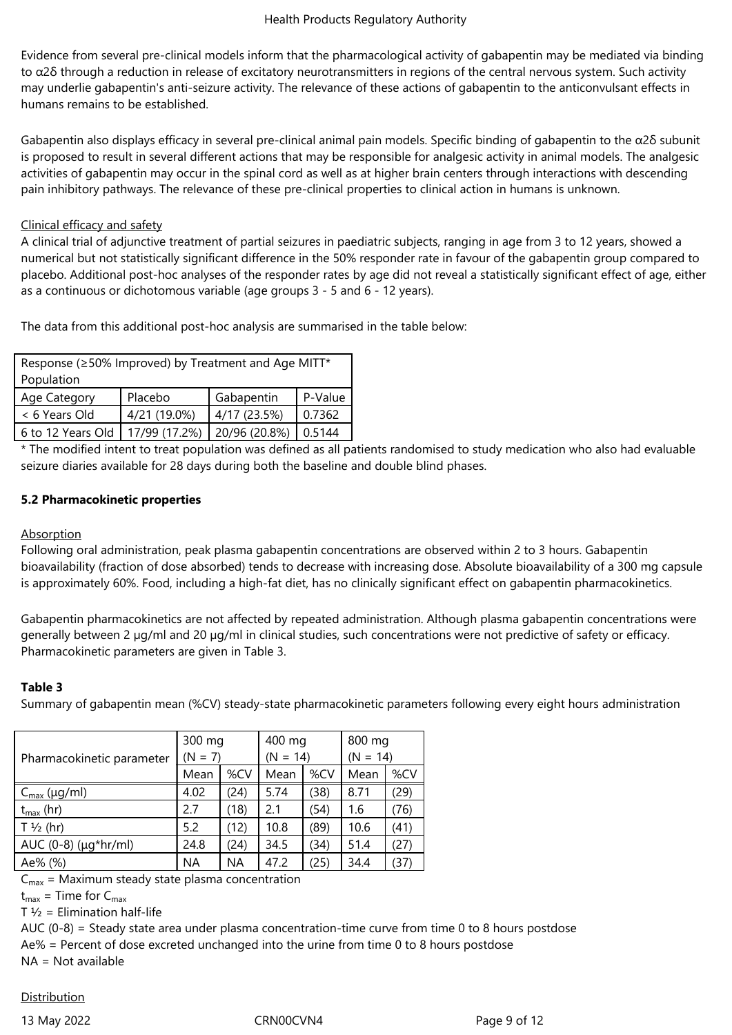Evidence from several pre-clinical models inform that the pharmacological activity of gabapentin may be mediated via binding to  $α2δ$  through a reduction in release of excitatory neurotransmitters in regions of the central nervous system. Such activity may underlie gabapentin's anti-seizure activity. The relevance of these actions of gabapentin to the anticonvulsant effects in humans remains to be established.

Gabapentin also displays efficacy in several pre-clinical animal pain models. Specific binding of gabapentin to the α2δ subunit is proposed to result in several different actions that may be responsible for analgesic activity in animal models. The analgesic activities of gabapentin may occur in the spinal cord as well as at higher brain centers through interactions with descending pain inhibitory pathways. The relevance of these pre-clinical properties to clinical action in humans is unknown.

# Clinical efficacy and safety

A clinical trial of adjunctive treatment of partial seizures in paediatric subjects, ranging in age from 3 to 12 years, showed a numerical but not statistically significant difference in the 50% responder rate in favour of the gabapentin group compared to placebo. Additional post-hoc analyses of the responder rates by age did not reveal a statistically significant effect of age, either as a continuous or dichotomous variable (age groups 3 - 5 and 6 - 12 years).

The data from this additional post-hoc analysis are summarised in the table below:

| Response (≥50% Improved) by Treatment and Age MITT*<br>Population |               |               |         |  |
|-------------------------------------------------------------------|---------------|---------------|---------|--|
| Age Category                                                      | Placebo       | Gabapentin    | P-Value |  |
| < 6 Years Old                                                     | 4/21 (19.0%)  | 4/17(23.5%)   | 0.7362  |  |
| 6 to 12 Years Old                                                 | 17/99 (17.2%) | 20/96 (20.8%) | 0.5144  |  |

\* The modified intent to treat population was defined as all patients randomised to study medication who also had evaluable seizure diaries available for 28 days during both the baseline and double blind phases.

# **5.2 Pharmacokinetic properties**

# Absorption

Following oral administration, peak plasma gabapentin concentrations are observed within 2 to 3 hours. Gabapentin bioavailability (fraction of dose absorbed) tends to decrease with increasing dose. Absolute bioavailability of a 300 mg capsule is approximately 60%. Food, including a high-fat diet, has no clinically significant effect on gabapentin pharmacokinetics.

Gabapentin pharmacokinetics are not affected by repeated administration. Although plasma gabapentin concentrations were generally between 2 µg/ml and 20 µg/ml in clinical studies, such concentrations were not predictive of safety or efficacy. Pharmacokinetic parameters are given in Table 3.

# **Table 3**

Summary of gabapentin mean (%CV) steady-state pharmacokinetic parameters following every eight hours administration

| Pharmacokinetic parameter      | 300 mg<br>$(N = 7)$ |      | 400 mg<br>$(N = 14)$ |      | 800 mg<br>$(N = 14)$ |      |
|--------------------------------|---------------------|------|----------------------|------|----------------------|------|
|                                | Mean                | %CV  | Mean                 | %CV  | Mean                 | %CV  |
| $C_{\text{max}}$ (µg/ml)       | 4.02                | (24) | 5.74                 | (38) | 8.71                 | (29) |
| $t_{\text{max}}$ (hr)          | 2.7                 | (18) | 2.1                  | (54) | 1.6                  | (76) |
| $T\frac{1}{2}$ (hr)            | 5.2                 | (12) | 10.8                 | (89) | 10.6                 | (41) |
| AUC $(0-8)$ ( $\mu q^*$ hr/ml) | 24.8                | (24) | 34.5                 | (34) | 51.4                 | (27) |
| Ae% (%)                        | ΝA                  | ΝA   | 47.2                 | (25) | 34.4                 | (37) |

 $C_{\text{max}}$  = Maximum steady state plasma concentration

 $t_{\text{max}}$  = Time for  $C_{\text{max}}$ 

 $T \frac{1}{2}$  = Elimination half-life

AUC (0-8) = Steady state area under plasma concentration-time curve from time 0 to 8 hours postdose

Ae% = Percent of dose excreted unchanged into the urine from time 0 to 8 hours postdose

NA = Not available

# **Distribution**

13 May 2022 **CRNOOCVN4** CRNOOCVN4 Page 9 of 12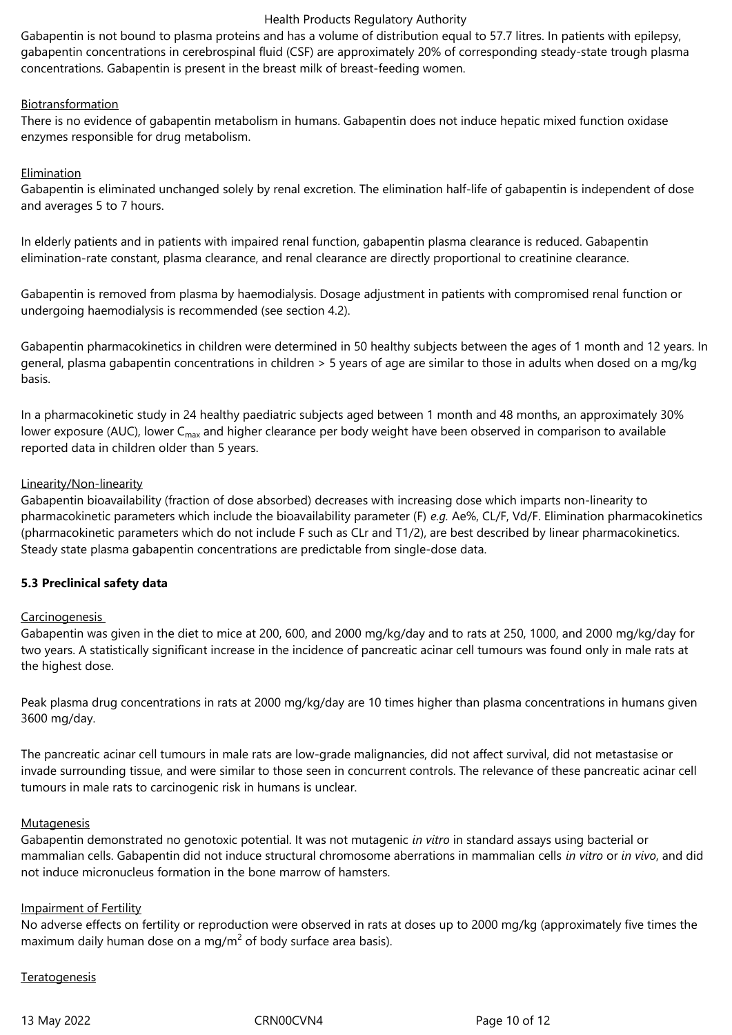Gabapentin is not bound to plasma proteins and has a volume of distribution equal to 57.7 litres. In patients with epilepsy, gabapentin concentrations in cerebrospinal fluid (CSF) are approximately 20% of corresponding steady-state trough plasma concentrations. Gabapentin is present in the breast milk of breast-feeding women.

# Biotransformation

There is no evidence of gabapentin metabolism in humans. Gabapentin does not induce hepatic mixed function oxidase enzymes responsible for drug metabolism.

# Elimination

Gabapentin is eliminated unchanged solely by renal excretion. The elimination half-life of gabapentin is independent of dose and averages 5 to 7 hours.

In elderly patients and in patients with impaired renal function, gabapentin plasma clearance is reduced. Gabapentin elimination-rate constant, plasma clearance, and renal clearance are directly proportional to creatinine clearance.

Gabapentin is removed from plasma by haemodialysis. Dosage adjustment in patients with compromised renal function or undergoing haemodialysis is recommended (see section 4.2).

Gabapentin pharmacokinetics in children were determined in 50 healthy subjects between the ages of 1 month and 12 years. In general, plasma gabapentin concentrations in children > 5 years of age are similar to those in adults when dosed on a mg/kg basis.

In a pharmacokinetic study in 24 healthy paediatric subjects aged between 1 month and 48 months, an approximately 30% lower exposure (AUC), lower  $C_{\text{max}}$  and higher clearance per body weight have been observed in comparison to available reported data in children older than 5 years.

# Linearity/Non-linearity

Gabapentin bioavailability (fraction of dose absorbed) decreases with increasing dose which imparts non-linearity to pharmacokinetic parameters which include the bioavailability parameter (F) *e.g.* Ae%, CL/F, Vd/F. Elimination pharmacokinetics (pharmacokinetic parameters which do not include F such as CLr and T1/2), are best described by linear pharmacokinetics. Steady state plasma gabapentin concentrations are predictable from single-dose data.

# **5.3 Preclinical safety data**

# **Carcinogenesis**

Gabapentin was given in the diet to mice at 200, 600, and 2000 mg/kg/day and to rats at 250, 1000, and 2000 mg/kg/day for two years. A statistically significant increase in the incidence of pancreatic acinar cell tumours was found only in male rats at the highest dose.

Peak plasma drug concentrations in rats at 2000 mg/kg/day are 10 times higher than plasma concentrations in humans given 3600 mg/day.

The pancreatic acinar cell tumours in male rats are low-grade malignancies, did not affect survival, did not metastasise or invade surrounding tissue, and were similar to those seen in concurrent controls. The relevance of these pancreatic acinar cell tumours in male rats to carcinogenic risk in humans is unclear.

# **Mutagenesis**

Gabapentin demonstrated no genotoxic potential. It was not mutagenic *in vitro* in standard assays using bacterial or mammalian cells. Gabapentin did not induce structural chromosome aberrations in mammalian cells *in vitro* or *in vivo*, and did not induce micronucleus formation in the bone marrow of hamsters.

# Impairment of Fertility

No adverse effects on fertility or reproduction were observed in rats at doses up to 2000 mg/kg (approximately five times the maximum daily human dose on a mg/m<sup>2</sup> of body surface area basis).

# **Teratogenesis**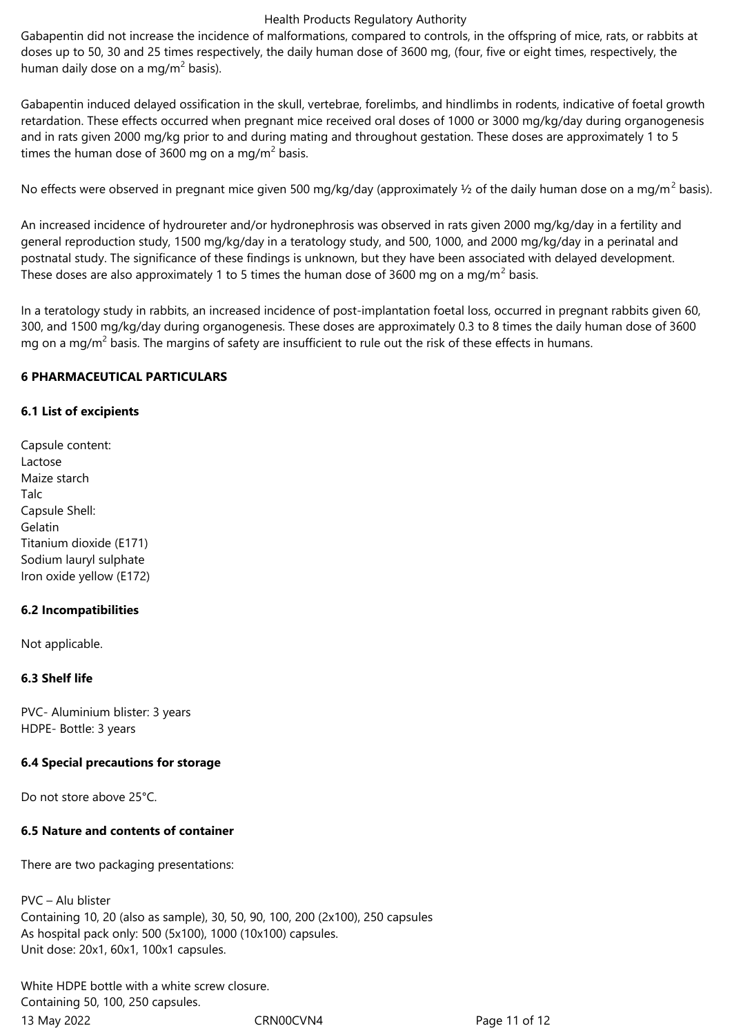Gabapentin did not increase the incidence of malformations, compared to controls, in the offspring of mice, rats, or rabbits at doses up to 50, 30 and 25 times respectively, the daily human dose of 3600 mg, (four, five or eight times, respectively, the human daily dose on a mg/m $^2$  basis).

Gabapentin induced delayed ossification in the skull, vertebrae, forelimbs, and hindlimbs in rodents, indicative of foetal growth retardation. These effects occurred when pregnant mice received oral doses of 1000 or 3000 mg/kg/day during organogenesis and in rats given 2000 mg/kg prior to and during mating and throughout gestation. These doses are approximately 1 to 5 times the human dose of 3600 mg on a mg/m<sup>2</sup> basis.

No effects were observed in pregnant mice given 500 mg/kg/day (approximately ½ of the daily human dose on a mg/m<sup>2</sup> basis).

An increased incidence of hydroureter and/or hydronephrosis was observed in rats given 2000 mg/kg/day in a fertility and general reproduction study, 1500 mg/kg/day in a teratology study, and 500, 1000, and 2000 mg/kg/day in a perinatal and postnatal study. The significance of these findings is unknown, but they have been associated with delayed development. These doses are also approximately 1 to 5 times the human dose of 3600 mg on a mg/m<sup>2</sup> basis.

In a teratology study in rabbits, an increased incidence of post-implantation foetal loss, occurred in pregnant rabbits given 60, 300, and 1500 mg/kg/day during organogenesis. These doses are approximately 0.3 to 8 times the daily human dose of 3600 mg on a mg/m<sup>2</sup> basis. The margins of safety are insufficient to rule out the risk of these effects in humans.

# **6 PHARMACEUTICAL PARTICULARS**

# **6.1 List of excipients**

Capsule content: Lactose Maize starch **Talc** Capsule Shell: Gelatin Titanium dioxide (E171) Sodium lauryl sulphate Iron oxide yellow (E172)

# **6.2 Incompatibilities**

Not applicable.

# **6.3 Shelf life**

PVC- Aluminium blister: 3 years HDPE- Bottle: 3 years

# **6.4 Special precautions for storage**

Do not store above 25°C.

# **6.5 Nature and contents of container**

There are two packaging presentations:

PVC – Alu blister Containing 10, 20 (also as sample), 30, 50, 90, 100, 200 (2x100), 250 capsules As hospital pack only: 500 (5x100), 1000 (10x100) capsules. Unit dose: 20x1, 60x1, 100x1 capsules.

13 May 2022 CRN00CVN4 Page 11 of 12 White HDPE bottle with a white screw closure. Containing 50, 100, 250 capsules.